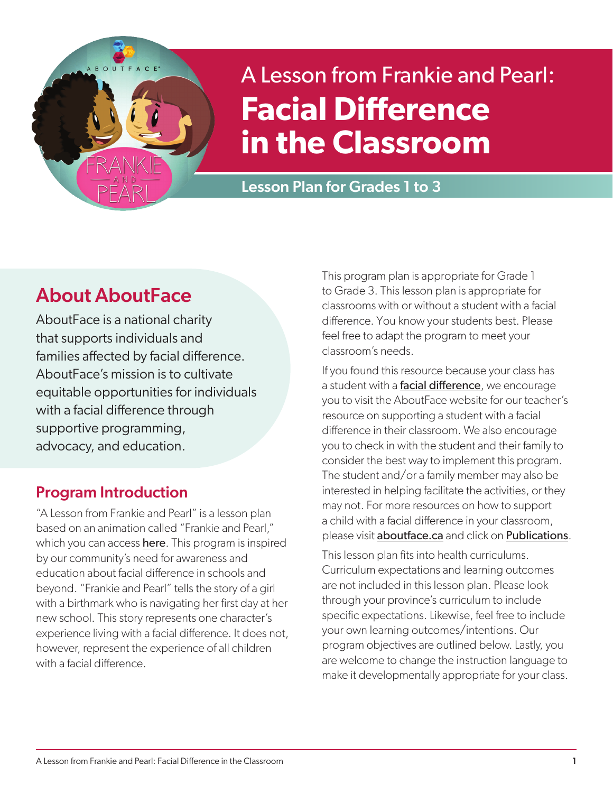

# A Lesson from Frankie and Pearl: **Facial Difference in the Classroom**

Lesson Plan for Grades 1 to 3

# About AboutFace

AboutFace is a national charity that supports individuals and families affected by facial difference. AboutFace's mission is to cultivate equitable opportunities for individuals with a facial difference through supportive programming, advocacy, and education.

# Program Introduction

"A Lesson from Frankie and Pearl" is a lesson plan based on an animation called "Frankie and Pearl," which you can access [here](https://www.youtube.com/watch?v=R1hdSISTQog). This program is inspired by our community's need for awareness and education about facial difference in schools and beyond. "Frankie and Pearl" tells the story of a girl with a birthmark who is navigating her first day at her new school. This story represents one character's experience living with a facial difference. It does not, however, represent the experience of all children with a facial difference.

This program plan is appropriate for Grade 1 to Grade 3. This lesson plan is appropriate for classrooms with or without a student with a facial difference. You know your students best. Please feel free to adapt the program to meet your classroom's needs.

If you found this resource because your class has a student with a [facial difference](https://www.aboutface.ca/facial_difference/), we encourage you to visit the AboutFace website for our teacher's resource on supporting a student with a facial difference in their classroom. We also encourage you to check in with the student and their family to consider the best way to implement this program. The student and/or a family member may also be interested in helping facilitate the activities, or they may not. For more resources on how to support a child with a facial difference in your classroom, please visit [aboutface.ca](www.aboutface.ca) and click on [Publications](https://www.aboutface.ca/publications/).

This lesson plan fits into health curriculums. Curriculum expectations and learning outcomes are not included in this lesson plan. Please look through your province's curriculum to include specific expectations. Likewise, feel free to include your own learning outcomes/intentions. Our program objectives are outlined below. Lastly, you are welcome to change the instruction language to make it developmentally appropriate for your class.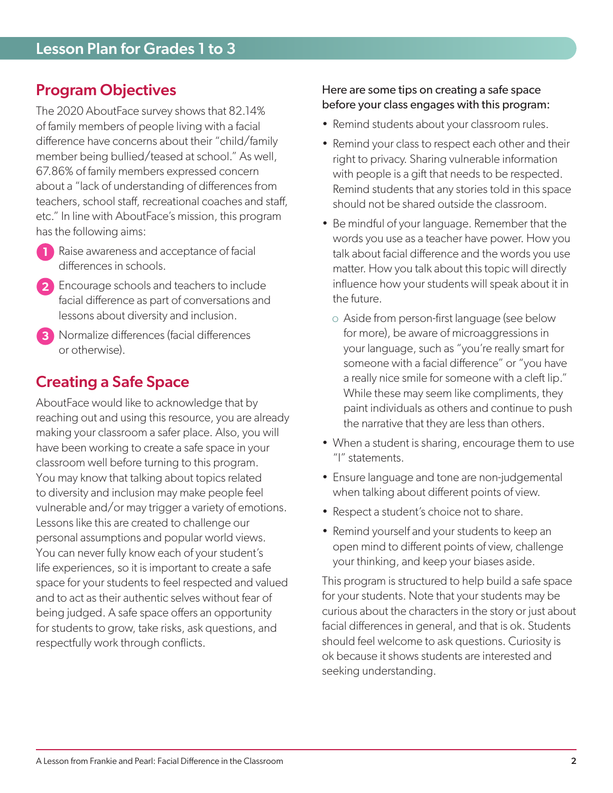# Program Objectives

The 2020 AboutFace survey shows that 82.14% of family members of people living with a facial difference have concerns about their "child/family member being bullied/teased at school." As well, 67.86% of family members expressed concern about a "lack of understanding of differences from teachers, school staff, recreational coaches and staff, etc." In line with AboutFace's mission, this program has the following aims:

- **1** Raise awareness and acceptance of facial differences in schools.
- **2** Encourage schools and teachers to include facial difference as part of conversations and lessons about diversity and inclusion.
- **3** Normalize differences (facial differences or otherwise).

# Creating a Safe Space

AboutFace would like to acknowledge that by reaching out and using this resource, you are already making your classroom a safer place. Also, you will have been working to create a safe space in your classroom well before turning to this program. You may know that talking about topics related to diversity and inclusion may make people feel vulnerable and/or may trigger a variety of emotions. Lessons like this are created to challenge our personal assumptions and popular world views. You can never fully know each of your student's life experiences, so it is important to create a safe space for your students to feel respected and valued and to act as their authentic selves without fear of being judged. A safe space offers an opportunity for students to grow, take risks, ask questions, and respectfully work through conflicts.

### Here are some tips on creating a safe space before your class engages with this program:

- Remind students about your classroom rules.
- Remind your class to respect each other and their right to privacy. Sharing vulnerable information with people is a gift that needs to be respected. Remind students that any stories told in this space should not be shared outside the classroom.
- Be mindful of your language. Remember that the words you use as a teacher have power. How you talk about facial difference and the words you use matter. How you talk about this topic will directly influence how your students will speak about it in the future.
	- o Aside from person-first language (see below for more), be aware of microaggressions in your language, such as "you're really smart for someone with a facial difference" or "you have a really nice smile for someone with a cleft lip." While these may seem like compliments, they paint individuals as others and continue to push the narrative that they are less than others.
- When a student is sharing, encourage them to use "I" statements.
- Ensure language and tone are non-judgemental when talking about different points of view.
- Respect a student's choice not to share.
- Remind yourself and your students to keep an open mind to different points of view, challenge your thinking, and keep your biases aside.

This program is structured to help build a safe space for your students. Note that your students may be curious about the characters in the story or just about facial differences in general, and that is ok. Students should feel welcome to ask questions. Curiosity is ok because it shows students are interested and seeking understanding.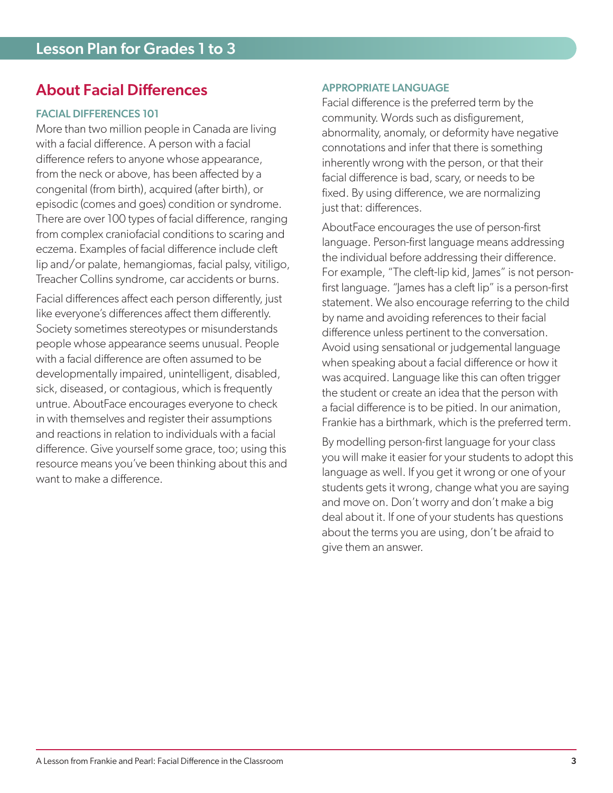## About Facial Differences

### FACIAL DIFFERENCES 101

More than two million people in Canada are living with a facial difference. A person with a facial difference refers to anyone whose appearance, from the neck or above, has been affected by a congenital (from birth), acquired (after birth), or episodic (comes and goes) condition or syndrome. There are over 100 types of facial difference, ranging from complex craniofacial conditions to scaring and eczema. Examples of facial difference include cleft lip and/or palate, hemangiomas, facial palsy, vitiligo, Treacher Collins syndrome, car accidents or burns.

Facial differences affect each person differently, just like everyone's differences affect them differently. Society sometimes stereotypes or misunderstands people whose appearance seems unusual. People with a facial difference are often assumed to be developmentally impaired, unintelligent, disabled, sick, diseased, or contagious, which is frequently untrue. AboutFace encourages everyone to check in with themselves and register their assumptions and reactions in relation to individuals with a facial difference. Give yourself some grace, too; using this resource means you've been thinking about this and want to make a difference.

### APPROPRIATE LANGUAGE

Facial difference is the preferred term by the community. Words such as disfigurement, abnormality, anomaly, or deformity have negative connotations and infer that there is something inherently wrong with the person, or that their facial difference is bad, scary, or needs to be fixed. By using difference, we are normalizing just that: differences.

AboutFace encourages the use of person-first language. Person-first language means addressing the individual before addressing their difference. For example, "The cleft-lip kid, James" is not personfirst language. "James has a cleft lip" is a person-first statement. We also encourage referring to the child by name and avoiding references to their facial difference unless pertinent to the conversation. Avoid using sensational or judgemental language when speaking about a facial difference or how it was acquired. Language like this can often trigger the student or create an idea that the person with a facial difference is to be pitied. In our animation, Frankie has a birthmark, which is the preferred term.

By modelling person-first language for your class you will make it easier for your students to adopt this language as well. If you get it wrong or one of your students gets it wrong, change what you are saying and move on. Don't worry and don't make a big deal about it. If one of your students has questions about the terms you are using, don't be afraid to give them an answer.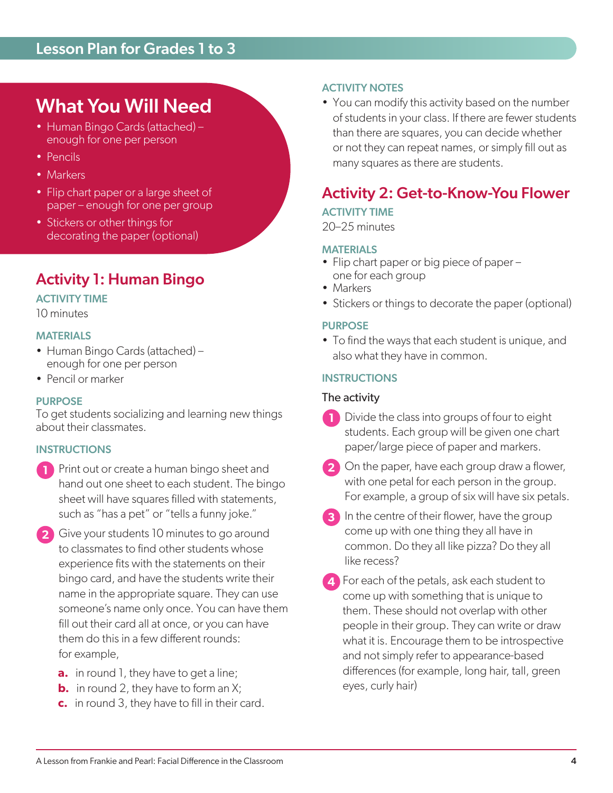# What You Will Need

- Human Bingo Cards (attached) enough for one per person
- Pencils
- Markers
- Flip chart paper or a large sheet of paper – enough for one per group
- Stickers or other things for decorating the paper (optional)

# Activity 1: Human Bingo

### ACTIVITY TIME

10 minutes

#### MATERIALS

- Human Bingo Cards (attached) enough for one per person
- Pencil or marker

### PURPOSE

To get students socializing and learning new things about their classmates.

### **INSTRUCTIONS**

- **1** Print out or create a human bingo sheet and hand out one sheet to each student. The bingo sheet will have squares filled with statements, such as "has a pet" or "tells a funny joke."
- **2** Give your students 10 minutes to go around to classmates to find other students whose experience fits with the statements on their bingo card, and have the students write their name in the appropriate square. They can use someone's name only once. You can have them fill out their card all at once, or you can have them do this in a few different rounds: for example,
	- **a.** in round 1, they have to get a line;
	- **b.** in round 2, they have to form an X;
	- **c.** in round 3, they have to fill in their card.

### ACTIVITY NOTES

• You can modify this activity based on the number of students in your class. If there are fewer students than there are squares, you can decide whether or not they can repeat names, or simply fill out as many squares as there are students.

# Activity 2: Get-to-Know-You Flower

### ACTIVITY TIME

20–25 minutes

#### **MATERIALS**

- Flip chart paper or big piece of paper one for each group
- Markers
- Stickers or things to decorate the paper (optional)

#### PURPOSE

• To find the ways that each student is unique, and also what they have in common.

#### **INSTRUCTIONS**

### The activity

- **1** Divide the class into groups of four to eight students. Each group will be given one chart paper/large piece of paper and markers.
- **2** On the paper, have each group draw a flower, with one petal for each person in the group. For example, a group of six will have six petals.
- **3** In the centre of their flower, have the group come up with one thing they all have in common. Do they all like pizza? Do they all like recess?
- **4** For each of the petals, ask each student to come up with something that is unique to them. These should not overlap with other people in their group. They can write or draw what it is. Encourage them to be introspective and not simply refer to appearance-based differences (for example, long hair, tall, green eyes, curly hair)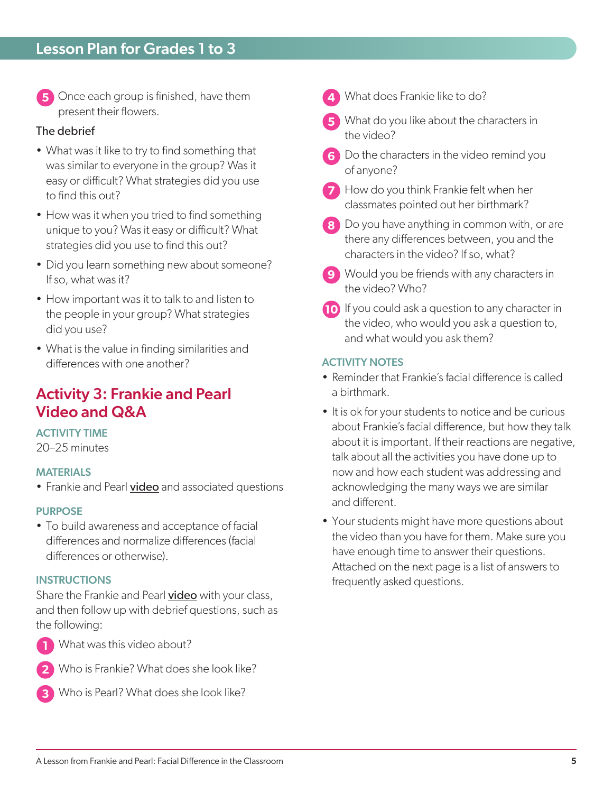**5** Once each group is finished, have them present their flowers.

### The debrief

- What was it like to try to find something that was similar to everyone in the group? Was it easy or difficult? What strategies did you use to find this out?
- How was it when you tried to find something unique to you? Was it easy or difficult? What strategies did you use to find this out?
- Did you learn something new about someone? If so, what was it?
- How important was it to talk to and listen to the people in your group? What strategies did you use?
- What is the value in finding similarities and differences with one another?

### Activity 3: Frankie and Pearl Video and Q&A

### ACTIVITY TIME

20–25 minutes

### MATERIALS

• Frankie and Pearl [video](https://www.youtube.com/watch?v=R1hdSISTQog) and associated questions

#### PURPOSE

• To build awareness and acceptance of facial differences and normalize differences (facial differences or otherwise).

#### **INSTRUCTIONS**

Share the Frankie and Pearl [video](https://www.youtube.com/watch?v=R1hdSISTQog) with your class, and then follow up with debrief questions, such as the following:



**1** What was this video about?



**2** Who is Frankie? What does she look like?



**3** Who is Pearl? What does she look like?

- **4** What does Frankie like to do?
- **5** What do you like about the characters in the video?
- **6** Do the characters in the video remind you of anyone?
- **7** How do you think Frankie felt when her classmates pointed out her birthmark?
- **8** Do you have anything in common with, or are there any differences between, you and the characters in the video? If so, what?
- **9** Would you be friends with any characters in the video? Who?
- **10** If you could ask a question to any character in the video, who would you ask a question to, and what would you ask them?

### ACTIVITY NOTES

- Reminder that Frankie's facial difference is called a birthmark.
- It is ok for your students to notice and be curious about Frankie's facial difference, but how they talk about it is important. If their reactions are negative, talk about all the activities you have done up to now and how each student was addressing and acknowledging the many ways we are similar and different.
- Your students might have more questions about the video than you have for them. Make sure you have enough time to answer their questions. Attached on the next page is a list of answers to frequently asked questions.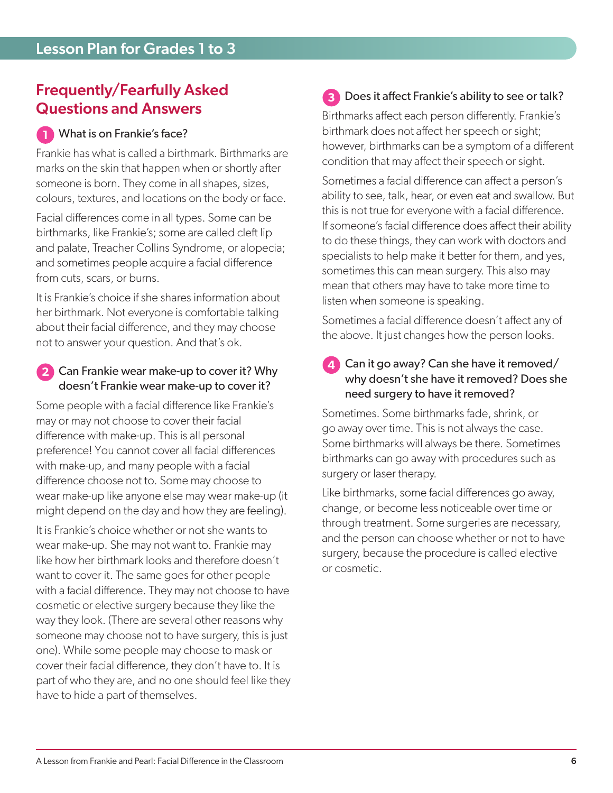# Frequently/Fearfully Asked Questions and Answers

### **1** What is on Frankie's face?

Frankie has what is called a birthmark. Birthmarks are marks on the skin that happen when or shortly after someone is born. They come in all shapes, sizes, colours, textures, and locations on the body or face.

Facial differences come in all types. Some can be birthmarks, like Frankie's; some are called cleft lip and palate, Treacher Collins Syndrome, or alopecia; and sometimes people acquire a facial difference from cuts, scars, or burns.

It is Frankie's choice if she shares information about her birthmark. Not everyone is comfortable talking about their facial difference, and they may choose not to answer your question. And that's ok.

### **2** Can Frankie wear make-up to cover it? Why doesn't Frankie wear make-up to cover it?

Some people with a facial difference like Frankie's may or may not choose to cover their facial difference with make-up. This is all personal preference! You cannot cover all facial differences with make-up, and many people with a facial difference choose not to. Some may choose to wear make-up like anyone else may wear make-up (it might depend on the day and how they are feeling).

It is Frankie's choice whether or not she wants to wear make-up. She may not want to. Frankie may like how her birthmark looks and therefore doesn't want to cover it. The same goes for other people with a facial difference. They may not choose to have cosmetic or elective surgery because they like the way they look. (There are several other reasons why someone may choose not to have surgery, this is just one). While some people may choose to mask or cover their facial difference, they don't have to. It is part of who they are, and no one should feel like they have to hide a part of themselves.

# **3** Does it affect Frankie's ability to see or talk?

Birthmarks affect each person differently. Frankie's birthmark does not affect her speech or sight; however, birthmarks can be a symptom of a different condition that may affect their speech or sight.

Sometimes a facial difference can affect a person's ability to see, talk, hear, or even eat and swallow. But this is not true for everyone with a facial difference. If someone's facial difference does affect their ability to do these things, they can work with doctors and specialists to help make it better for them, and yes, sometimes this can mean surgery. This also may mean that others may have to take more time to listen when someone is speaking.

Sometimes a facial difference doesn't affect any of the above. It just changes how the person looks.

### **4** Can it go away? Can she have it removed/ why doesn't she have it removed? Does she need surgery to have it removed?

Sometimes. Some birthmarks fade, shrink, or go away over time. This is not always the case. Some birthmarks will always be there. Sometimes birthmarks can go away with procedures such as surgery or laser therapy.

Like birthmarks, some facial differences go away, change, or become less noticeable over time or through treatment. Some surgeries are necessary, and the person can choose whether or not to have surgery, because the procedure is called elective or cosmetic.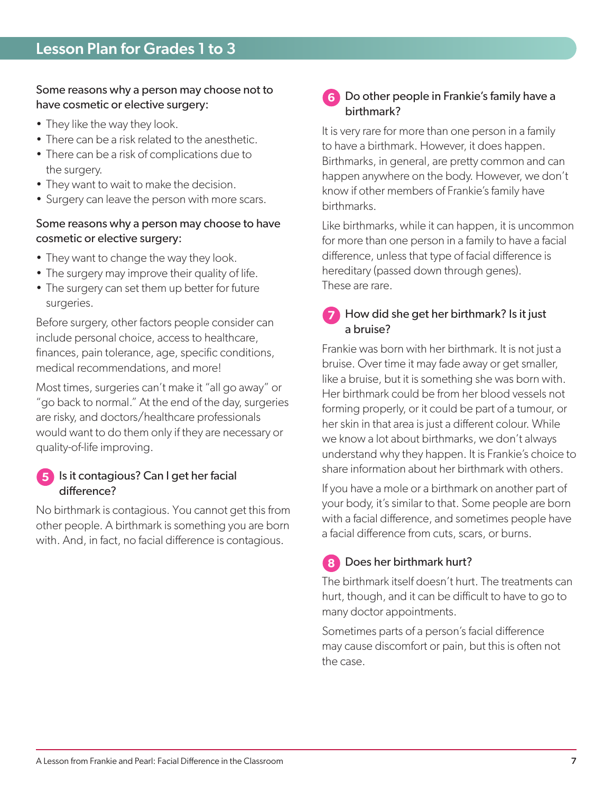### Some reasons why a person may choose not to have cosmetic or elective surgery:

- They like the way they look.
- There can be a risk related to the anesthetic.
- There can be a risk of complications due to the surgery.
- They want to wait to make the decision.
- Surgery can leave the person with more scars.

### Some reasons why a person may choose to have cosmetic or elective surgery:

- They want to change the way they look.
- The surgery may improve their quality of life.
- The surgery can set them up better for future surgeries.

Before surgery, other factors people consider can include personal choice, access to healthcare, finances, pain tolerance, age, specific conditions, medical recommendations, and more!

Most times, surgeries can't make it "all go away" or "go back to normal." At the end of the day, surgeries are risky, and doctors/healthcare professionals would want to do them only if they are necessary or quality-of-life improving.

### **5** Is it contagious? Can I get her facial difference?

No birthmark is contagious. You cannot get this from other people. A birthmark is something you are born with. And, in fact, no facial difference is contagious.

### **6** Do other people in Frankie's family have a birthmark?

It is very rare for more than one person in a family to have a birthmark. However, it does happen. Birthmarks, in general, are pretty common and can happen anywhere on the body. However, we don't know if other members of Frankie's family have birthmarks.

Like birthmarks, while it can happen, it is uncommon for more than one person in a family to have a facial difference, unless that type of facial difference is hereditary (passed down through genes). These are rare.

### **7** How did she get her birthmark? Is it just a bruise?

Frankie was born with her birthmark. It is not just a bruise. Over time it may fade away or get smaller, like a bruise, but it is something she was born with. Her birthmark could be from her blood vessels not forming properly, or it could be part of a tumour, or her skin in that area is just a different colour. While we know a lot about birthmarks, we don't always understand why they happen. It is Frankie's choice to share information about her birthmark with others.

If you have a mole or a birthmark on another part of your body, it's similar to that. Some people are born with a facial difference, and sometimes people have a facial difference from cuts, scars, or burns.

### **8** Does her birthmark hurt?

The birthmark itself doesn't hurt. The treatments can hurt, though, and it can be difficult to have to go to many doctor appointments.

Sometimes parts of a person's facial difference may cause discomfort or pain, but this is often not the case.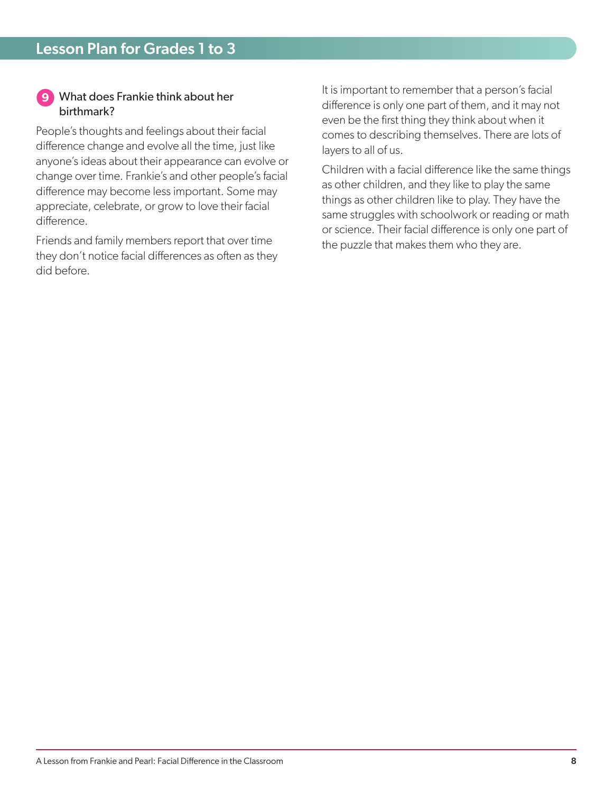### **9** What does Frankie think about her birthmark?

People's thoughts and feelings about their facial difference change and evolve all the time, just like anyone's ideas about their appearance can evolve or change over time. Frankie's and other people's facial difference may become less important. Some may appreciate, celebrate, or grow to love their facial difference.

Friends and family members report that over time they don't notice facial differences as often as they did before.

It is important to remember that a person's facial difference is only one part of them, and it may not even be the first thing they think about when it comes to describing themselves. There are lots of layers to all of us.

Children with a facial difference like the same things as other children, and they like to play the same things as other children like to play. They have the same struggles with schoolwork or reading or math or science. Their facial difference is only one part of the puzzle that makes them who they are.